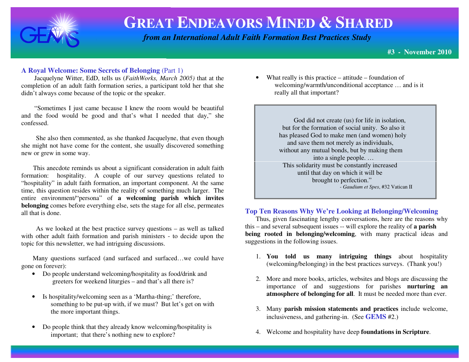

# **GREAT ENDEAVORS MINED & <sup>S</sup>HARED**

 *from an International Adult Faith Formation Best Practices Study*

**#3 - November 2010**

### **A Royal Welcome: Some Secrets of Belonging** (Part 1)

 Jacquelyne Witter, EdD, tells us (*FaithWorks, March 2005)* that at the completion of an adult faith formation series, a participant told her that she didn't always come because of the topic or the speaker.

 "Sometimes I just came because I knew the room would be beautiful and the food would be good and that's what I needed that day," she confessed.

 She also then commented, as she thanked Jacquelyne, that even though she might not have come for the content, she usually discovered something new or grew in some way.

This anecdote reminds us about a significant consideration in adult faith formation: hospitality. A couple of our survey questions related to "hospitality" in adult faith formation, an important component. At the same time, this question resides within the reality of something much larger. The entire environment/"persona" of **a welcoming parish which invites belonging** comes before everything else, sets the stage for all else, permeates all that is done.

 As we looked at the best practice survey questions – as well as talked with other adult faith formation and parish ministers - to decide upon the topic for this newsletter, we had intriguing discussions.

Many questions surfaced (and surfaced and surfaced...we could have gone on forever):

- Do people understand welcoming/hospitality as food/drink and greeters for weekend liturgies – and that's all there is?
- Is hospitality/welcoming seen as a 'Martha-thing;' therefore, something to be put-up with, if we must? But let's get on with the more important things.
- Do people think that they already know welcoming/hospitality is important; that there's nothing new to explore?

• What really is this practice – attitude – foundation of welcoming/warmth/unconditional acceptance … and is it really all that important?

 God did not create (us) for life in isolation, but for the formation of social unity. So also it has pleased God to make men (and women) holy and save them not merely as individuals, without any mutual bonds, but by making them into a single people. … This solidarity must be constantly increased until that day on which it will be brought to perfection." *- Gaudium et Spes*, #32 Vatican II

# **Top Ten Reasons Why We're Looking at Belonging/Welcoming**

 Thus, given fascinating lengthy conversations, here are the reasons why this – and several subsequent issues -- will explore the reality of **a parish being rooted in belonging/welcoming**, with many practical ideas and suggestions in the following issues.

- 1. **You told us many intriguing things** about hospitality (welcoming/belonging) in the best practices surveys. (Thank you!)
- 2. More and more books, articles, websites and blogs are discussing the importance of and suggestions for parishes **nurturing an atmosphere of belonging for all**. It must be needed more than ever.
- 3. Many **parish mission statements and practices** include welcome, inclusiveness, and gathering-in. (See **GEMS** #2.)
- 4. Welcome and hospitality have deep **foundations in Scripture**.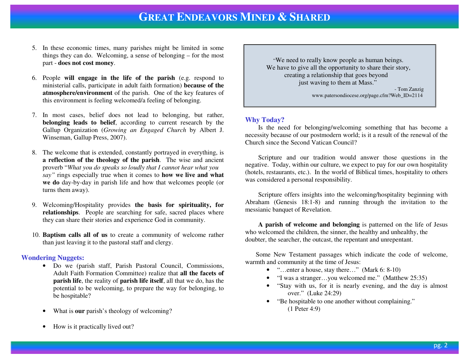- 5. In these economic times, many parishes might be limited in some things they can do. Welcoming, a sense of belonging – for the most part - **does not cost money**.
- 6. People **will engage in the life of the parish** (e.g. respond to ministerial calls, participate in adult faith formation) **because of the atmosphere/environment** of the parish. One of the key features of this environment is feeling welcomed/a feeling of belonging.
- 7. In most cases, belief does not lead to belonging, but rather, **belonging leads to belief**, according to current research by the Gallup Organization (*Growing an Engaged Church* by Albert J. Winseman, Gallup Press, 2007).
- 8. The welcome that is extended, constantly portrayed in everything, is **a reflection of the theology of the parish**. The wise and ancient proverb "*What you do speaks so loudly that I cannot hear what you say"* rings especially true when it comes to **how we live and what we do** day-by-day in parish life and how that welcomes people (or turns them away).
- 9. Welcoming/Hospitality provides **the basis for spirituality, for relationships**. People are searching for safe, sacred places where they can share their stories and experience God in community.
- 10. **Baptism calls all of us** to create a community of welcome rather than just leaving it to the pastoral staff and clergy.

### **Wondering Nuggets:**

- Do we (parish staff, Parish Pastoral Council, Commissions, Adult Faith Formation Committee) realize that **all the facets of parish life**, the reality of **parish life itself**, all that we do, has the potential to be welcoming, to prepare the way for belonging, to be hospitable?
- $\bullet$ What is **our** parish's theology of welcoming?
- How is it practically lived out?

 "We need to really know people as human beings. We have to give all the opportunity to share their story, creating a relationship that goes beyond just waving to them at Mass." - Tom Zanzig www.patersondiocese.org/page.cfm?Web\_ID=2114

### **Why Today?**

 Is the need for belonging/welcoming something that has become a necessity because of our postmodern world; is it a result of the renewal of the Church since the Second Vatican Council?

 Scripture and our tradition would answer those questions in the negative. Today, within our culture, we expect to pay for our own hospitality (hotels, restaurants, etc.). In the world of Biblical times, hospitality to others was considered a personal responsibility.

 Scripture offers insights into the welcoming/hospitality beginning with Abraham (Genesis 18:1-8) and running through the invitation to the messianic banquet of Revelation.

**A parish of welcome and belonging** is patterned on the life of Jesus who welcomed the children, the sinner, the healthy and unhealthy, the doubter, the searcher, the outcast, the repentant and unrepentant.

Some New Testament passages which indicate the code of welcome, warmth and community at the time of Jesus:

- "…enter a house, stay there…" (Mark 6: 8-10)
- $\bullet$ "I was a stranger…you welcomed me." (Matthew 25:35)
- • "Stay with us, for it is nearly evening, and the day is almost over." (Luke 24:29)
- "Be hospitable to one another without complaining." (1 Peter 4:9)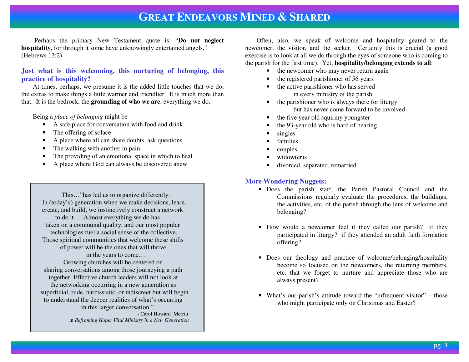# **GREAT ENDEAVORS MINED & <sup>S</sup>HARED**

 Perhaps the primary New Testament quote is: "**Do not neglect hospitality**, for through it some have unknowingly entertained angels." (Hebrews 13:2)

### **Just what is this welcoming, this nurturing of belonging, this practice of hospitality?**

 At times, perhaps, we presume it is the added little touches that we do; the extras to make things a little warmer and friendlier. It is much more than that. It is the bedrock, the **grounding of who we are**, everything we do.

Being a *place of belonging* might be

- A safe place for conversation with food and drink
- •The offering of solace
- •A place where all can share doubts, ask questions
- •The walking with another in pain
- •The providing of an emotional space in which to heal
- •A place where God can always be discovered anew

 This…"has led us to organize differently. In (today's) generation when we make decisions, learn, create, and build, we instinctively construct a network to do it…..Almost everything we do has taken on a communal quality, and our most popular technologies fuel a social sense of the collective. Those spiritual communities that welcome these shifts of power will be the ones that will thrive in the years to come…. Growing churches will be centered on sharing conversations among those journeying a path together. Effective church leaders will not look at the networking occurring in a new generation as superficial, rude, narcissistic, or indiscreet but will begin to understand the deeper realities of what's occurring in this larger conversation." - Carol Howard Merritt in *Reframing Hope: Vital Ministry in a New Generation*

 Often, also, we speak of welcome and hospitality geared to the newcomer, the visitor, and the seeker. Certainly this is crucial (a good exercise is to look at all we do through the eyes of someone who is coming to the parish for the first time). Yet, **hospitality/belonging extends to all**:

- •the newcomer who may never return again
- •the registered parishioner of 56 years
- the active parishioner who has served in every ministry of the parish
- the parishioner who is always there for liturgy  $\bullet$ but has never come forward to be involved
- •the five year old squirmy youngster
- •the 93-year old who is hard of hearing
- •singles
- •families
- •couples
- •widow(er)s
- •divorced, separated, remarried

# **More Wondering Nuggets:**

- Does the parish staff, the Parish Pastoral Council and the Commissions regularly evaluate the procedures, the buildings, the activities, etc. of the parish through the lens of welcome and belonging?
- How would a newcomer feel if they called our parish? if they participated in liturgy? if they attended an adult faith formation offering?
- Does our theology and practice of welcome/belonging/hospitality become so focused on the newcomers, the returning members, etc. that we forget to nurture and appreciate those who are always present?
- What's our parish's attitude toward the "infrequent visitor" those who might participate only on Christmas and Easter?